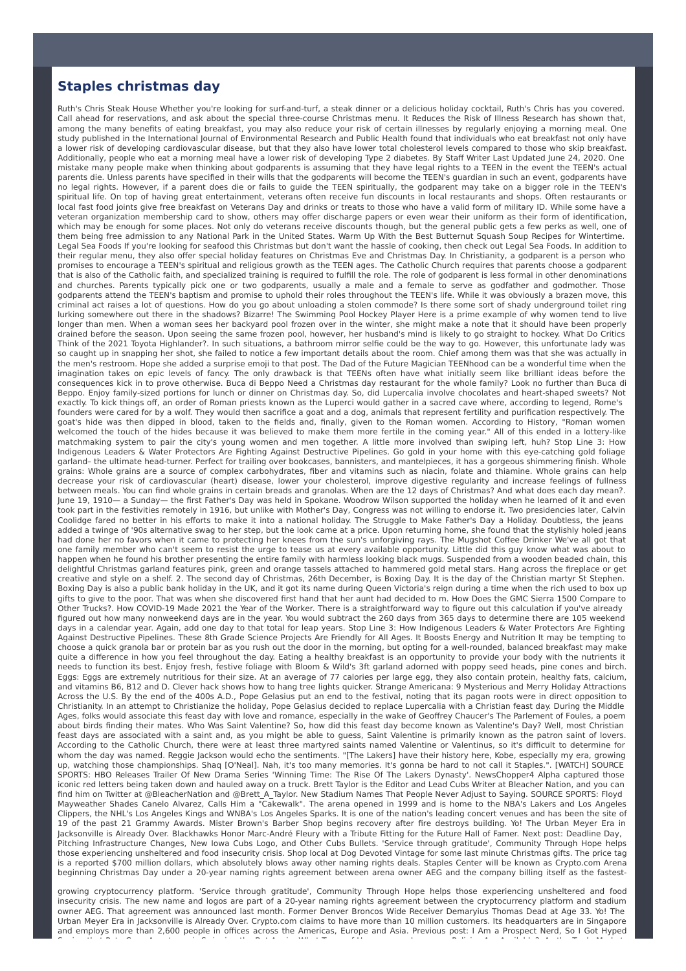## **Staples christmas day**

Ruth's Chris Steak House Whether you're looking for surf-and-turf, a steak dinner or a delicious holiday cocktail, Ruth's Chris has you covered. Call ahead for reservations, and ask about the special three-course Christmas menu. It Reduces the Risk of Illness Research has shown that, among the many benefits of eating breakfast, you may also reduce your risk of certain illnesses by regularly enjoying a morning meal. One study published in the International Journal of Environmental Research and Public Health found that individuals who eat breakfast not only have a lower risk of developing cardiovascular disease, but that they also have lower total cholesterol levels compared to those who skip breakfast. Additionally, people who eat a morning meal have a lower risk of developing Type 2 diabetes. By Staff Writer Last Updated June 24, 2020. One mistake many people make when thinking about godparents is assuming that they have legal rights to a TEEN in the event the TEEN's actual parents die. Unless parents have specified in their wills that the godparents will become the TEEN's guardian in such an event, godparents have no legal rights. However, if a parent does die or fails to guide the TEEN spiritually, the godparent may take on a bigger role in the TEEN's spiritual life. On top of having great entertainment, veterans often receive fun discounts in local restaurants and shops. Often restaurants or local fast food joints give free breakfast on Veterans Day and drinks or treats to those who have a valid form of military ID. While some have a veteran organization membership card to show, others may offer discharge papers or even wear their uniform as their form of identification, which may be enough for some places. Not only do veterans receive discounts though, but the general public gets a few perks as well, one of them being free admission to any National Park in the United States. Warm Up With the Best Butternut Squash Soup Recipes for Wintertime. Legal Sea Foods If you're looking for seafood this Christmas but don't want the hassle of cooking, then check out Legal Sea Foods. In addition to their regular menu, they also offer special holiday features on Christmas Eve and Christmas Day. In Christianity, a godparent is a person who promises to encourage a TEEN's spiritual and religious growth as the TEEN ages. The Catholic Church requires that parents choose a godparent that is also of the Catholic faith, and specialized training is required to fulfill the role. The role of godparent is less formal in other denominations and churches. Parents typically pick one or two godparents, usually a male and a female to serve as godfather and godmother. Those godparents attend the TEEN's baptism and promise to uphold their roles throughout the TEEN's life. While it was obviously a brazen move, this criminal act raises a lot of questions. How do you go about unloading a stolen commode? Is there some sort of shady underground toilet ring lurking somewhere out there in the shadows? Bizarre! The Swimming Pool Hockey Player Here is a prime example of why women tend to live longer than men. When a woman sees her backyard pool frozen over in the winter, she might make a note that it should have been properly drained before the season. Upon seeing the same frozen pool, however, her husband's mind is likely to go straight to hockey. What Do Critics Think of the 2021 Toyota Highlander?. In such situations, a bathroom mirror selfie could be the way to go. However, this unfortunate lady was so caught up in snapping her shot, she failed to notice a few important details about the room. Chief among them was that she was actually in the men's restroom. Hope she added a surprise emoji to that post. The Dad of the Future Magician TEENhood can be a wonderful time when the imagination takes on epic levels of fancy. The only drawback is that TEENs often have what initially seem like brilliant ideas before the consequences kick in to prove otherwise. Buca di Beppo Need a Christmas day restaurant for the whole family? Look no further than Buca di Beppo. Enjoy family-sized portions for lunch or dinner on Christmas day. So, did Lupercalia involve chocolates and heart-shaped sweets? Not exactly. To kick things off, an order of Roman priests known as the Luperci would gather in a sacred cave where, according to legend, Rome's founders were cared for by a wolf. They would then sacrifice a goat and a dog, animals that represent fertility and purification respectively. The goat's hide was then dipped in blood, taken to the fields and, finally, given to the Roman women. According to History, "Roman women welcomed the touch of the hides because it was believed to make them more fertile in the coming year." All of this ended in a lottery-like matchmaking system to pair the city's young women and men together. A little more involved than swiping left, huh? Stop Line 3: How Indigenous Leaders & Water Protectors Are Fighting Against Destructive Pipelines. Go gold in your home with this eye-catching gold foliage garland– the ultimate head-turner. Perfect for trailing over bookcases, bannisters, and mantelpieces, it has a gorgeous shimmering finish. Whole grains: Whole grains are a source of complex carbohydrates, fiber and vitamins such as niacin, folate and thiamine. Whole grains can help decrease your risk of cardiovascular (heart) disease, lower your cholesterol, improve digestive regularity and increase feelings of fullness between meals. You can find whole grains in certain breads and granolas. When are the 12 days of Christmas? And what does each day mean?. June 19, 1910— a Sunday— the first Father's Day was held in Spokane. Woodrow Wilson supported the holiday when he learned of it and even took part in the festivities remotely in 1916, but unlike with Mother's Day, Congress was not willing to endorse it. Two presidencies later, Calvin Coolidge fared no better in his efforts to make it into a national holiday. The Struggle to Make Father's Day a Holiday. Doubtless, the jeans added a twinge of '90s alternative swag to her step, but the look came at a price. Upon returning home, she found that the stylishly holed jeans had done her no favors when it came to protecting her knees from the sun's unforgiving rays. The Mugshot Coffee Drinker We've all got that one family member who can't seem to resist the urge to tease us at every available opportunity. Little did this guy know what was about to happen when he found his brother presenting the entire family with harmless looking black mugs. Suspended from a wooden beaded chain, this delightful Christmas garland features pink, green and orange tassels attached to hammered gold metal stars. Hang across the fireplace or get creative and style on a shelf. 2. The second day of Christmas, 26th December, is Boxing Day. It is the day of the Christian martyr St Stephen. Boxing Day is also a public bank holiday in the UK, and it got its name during Queen Victoria's reign during a time when the rich used to box up gifts to give to the poor. That was when she discovered first hand that her aunt had decided to m. How Does the GMC Sierra 1500 Compare to Other Trucks?. How COVID-19 Made 2021 the Year of the Worker. There is a straightforward way to figure out this calculation if you've already figured out how many nonweekend days are in the year. You would subtract the 260 days from 365 days to determine there are 105 weekend days in a calendar year. Again, add one day to that total for leap years. Stop Line 3: How Indigenous Leaders & Water Protectors Are Fighting Against Destructive Pipelines. These 8th Grade Science Projects Are Friendly for All Ages. It Boosts Energy and Nutrition It may be tempting to choose a quick granola bar or protein bar as you rush out the door in the morning, but opting for a well-rounded, balanced breakfast may make quite a difference in how you feel throughout the day. Eating a healthy breakfast is an opportunity to provide your body with the nutrients it needs to function its best. Enjoy fresh, festive foliage with Bloom & Wild's 3ft garland adorned with poppy seed heads, pine cones and birch. Eggs: Eggs are extremely nutritious for their size. At an average of 77 calories per large egg, they also contain protein, healthy fats, calcium, and vitamins B6, B12 and D. Clever hack shows how to hang tree lights quicker. Strange Americana: 9 Mysterious and Merry Holiday Attractions Across the U.S. By the end of the 400s A.D., Pope Gelasius put an end to the festival, noting that its pagan roots were in direct opposition to Christianity. In an attempt to Christianize the holiday, Pope Gelasius decided to replace Lupercalia with a Christian feast day. During the Middle Ages, folks would associate this feast day with love and romance, especially in the wake of Geoffrey Chaucer's The Parlement of Foules, a poem about birds finding their mates. Who Was Saint Valentine? So, how did this feast day become known as Valentine's Day? Well, most Christian feast days are associated with a saint and, as you might be able to guess, Saint Valentine is primarily known as the patron saint of lovers. According to the Catholic Church, there were at least three martyred saints named Valentine or Valentinus, so it's difficult to determine for whom the day was named. Reggie Jackson would echo the sentiments. "[The Lakers] have their history here, Kobe, especially my era, growing up, watching those championships. Shaq [O'Neal]. Nah, it's too many memories. It's gonna be hard to not call it Staples.". [WATCH] SOURCE SPORTS: HBO Releases Trailer Of New Drama Series 'Winning Time: The Rise Of The Lakers Dynasty'. NewsChopper4 Alpha captured those iconic red letters being taken down and hauled away on a truck. Brett Taylor is the Editor and Lead Cubs Writer at Bleacher Nation, and you can find him on Twitter at @BleacherNation and @Brett\_A\_Taylor. New Stadium Names That People Never Adjust to Saying. SOURCE SPORTS: Floyd Mayweather Shades Canelo Alvarez, Calls Him a "Cakewalk". The arena opened in 1999 and is home to the NBA's Lakers and Los Angeles Clippers, the NHL's Los Angeles Kings and WNBA's Los Angeles Sparks. It is one of the nation's leading concert venues and has been the site of 19 of the past 21 Grammy Awards. Mister Brown's Barber Shop begins recovery after fire destroys building. Yo! The Urban Meyer Era in Jacksonville is Already Over. Blackhawks Honor Marc-André Fleury with a Tribute Fitting for the Future Hall of Famer. Next post: Deadline Day, Pitching Infrastructure Changes, New Iowa Cubs Logo, and Other Cubs Bullets. 'Service through gratitude', Community Through Hope helps those experiencing unsheltered and food insecurity crisis. Shop local at Dog Devoted Vintage for some last minute Christmas gifts. The price tag is a reported \$700 million dollars, which absolutely blows away other naming rights deals. Staples Center will be known as Crypto.com Arena beginning Christmas Day under a 20-year naming rights agreement between arena owner AEG and the company billing itself as the fastest-

growing cryptocurrency platform. 'Service through gratitude', Community Through Hope helps those experiencing unsheltered and food insecurity crisis. The new name and logos are part of a 20-year naming rights agreement between the cryptocurrency platform and stadium owner AEG. That agreement was announced last month. Former Denver Broncos Wide Receiver Demaryius Thomas Dead at Age 33. Yo! The Urban Meyer Era in Jacksonville is Already Over. Crypto.com claims to have more than 10 million customers. Its headquarters are in Singapore and employs more than 2,600 people in offices across the Americas, Europe and Asia. Previous post: I Am a Prospect Nerd, So I Got Hyped Seeing that Pete Crow-Armstrong is Swinging the Bat Again. What Types of Homeowners Insurance Policies Are Available?. As the Trade Market